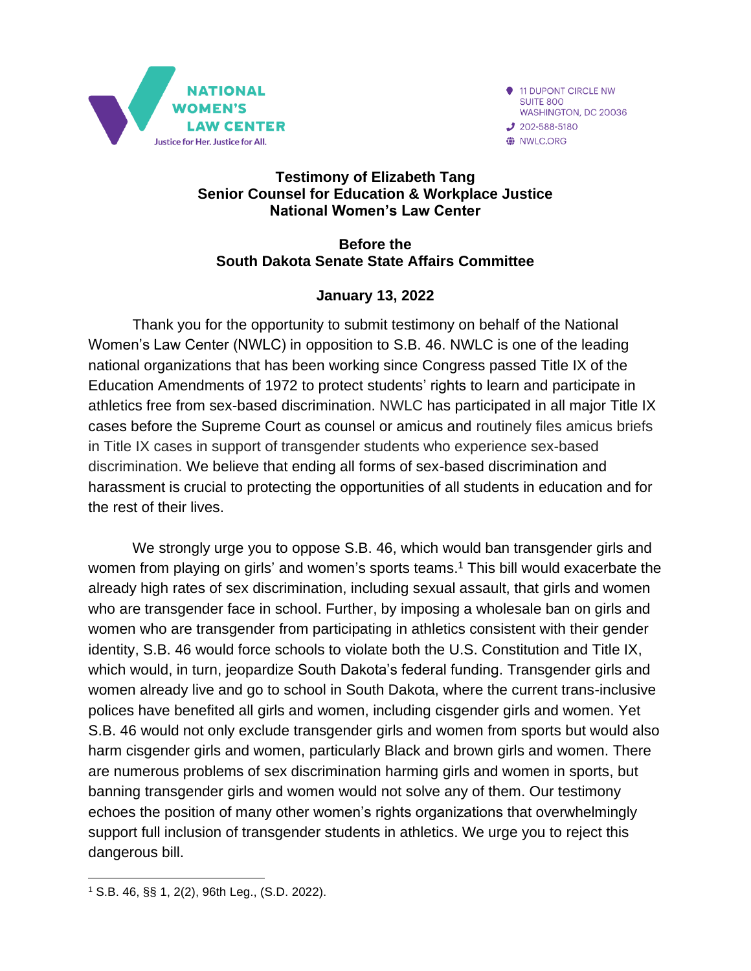

11 DUPONT CIRCLE NW SUITE 800 WASHINGTON, DC 20036  $J$  202-588-5180 WILC.ORG

#### **Testimony of Elizabeth Tang Senior Counsel for Education & Workplace Justice National Women's Law Center**

#### **Before the South Dakota Senate State Affairs Committee**

### **January 13, 2022**

Thank you for the opportunity to submit testimony on behalf of the National Women's Law Center (NWLC) in opposition to S.B. 46. NWLC is one of the leading national organizations that has been working since Congress passed Title IX of the Education Amendments of 1972 to protect students' rights to learn and participate in athletics free from sex-based discrimination. NWLC has participated in all major Title IX cases before the Supreme Court as counsel or amicus and routinely files amicus briefs in Title IX cases in support of transgender students who experience sex-based discrimination. We believe that ending all forms of sex-based discrimination and harassment is crucial to protecting the opportunities of all students in education and for the rest of their lives.

We strongly urge you to oppose S.B. 46, which would ban transgender girls and women from playing on girls' and women's sports teams.<sup>1</sup> This bill would exacerbate the already high rates of sex discrimination, including sexual assault, that girls and women who are transgender face in school. Further, by imposing a wholesale ban on girls and women who are transgender from participating in athletics consistent with their gender identity, S.B. 46 would force schools to violate both the U.S. Constitution and Title IX, which would, in turn, jeopardize South Dakota's federal funding. Transgender girls and women already live and go to school in South Dakota, where the current trans-inclusive polices have benefited all girls and women, including cisgender girls and women. Yet S.B. 46 would not only exclude transgender girls and women from sports but would also harm cisgender girls and women, particularly Black and brown girls and women. There are numerous problems of sex discrimination harming girls and women in sports, but banning transgender girls and women would not solve any of them. Our testimony echoes the position of many other women's rights organizations that overwhelmingly support full inclusion of transgender students in athletics. We urge you to reject this dangerous bill.

<sup>1</sup> S.B. 46, §§ 1, 2(2), 96th Leg., (S.D. 2022).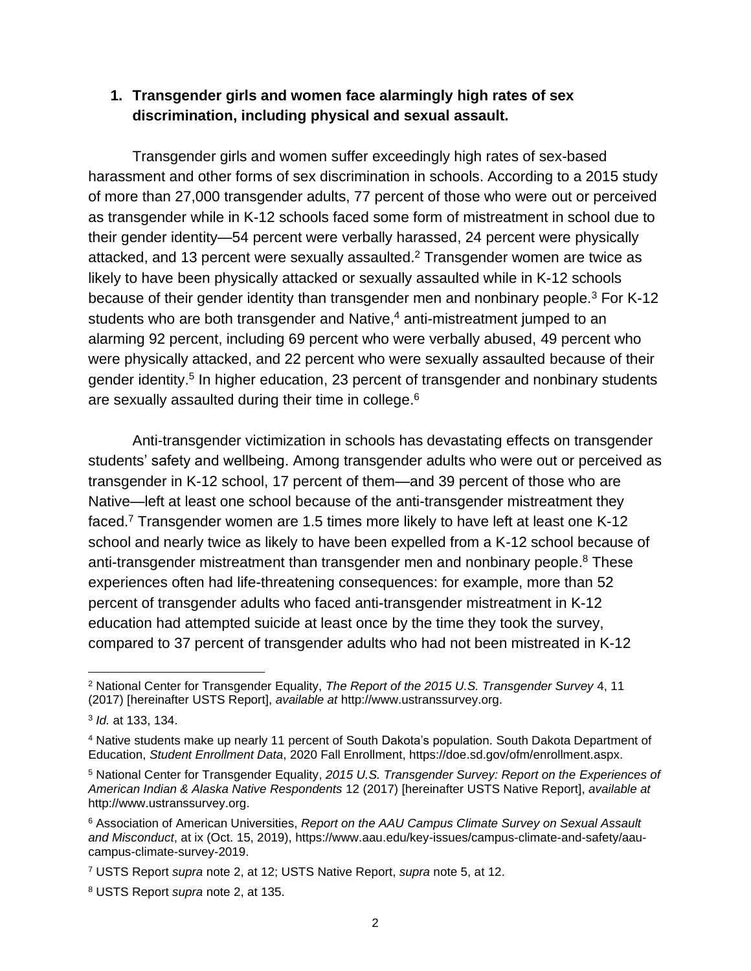#### **1. Transgender girls and women face alarmingly high rates of sex discrimination, including physical and sexual assault.**

<span id="page-1-0"></span>Transgender girls and women suffer exceedingly high rates of sex-based harassment and other forms of sex discrimination in schools. According to a 2015 study of more than 27,000 transgender adults, 77 percent of those who were out or perceived as transgender while in K-12 schools faced some form of mistreatment in school due to their gender identity—54 percent were verbally harassed, 24 percent were physically attacked, and 13 percent were sexually assaulted.<sup>2</sup> Transgender women are twice as likely to have been physically attacked or sexually assaulted while in K-12 schools because of their gender identity than transgender men and nonbinary people.<sup>3</sup> For K-12 students who are both transgender and Native, <sup>4</sup> anti-mistreatment jumped to an alarming 92 percent, including 69 percent who were verbally abused, 49 percent who were physically attacked, and 22 percent who were sexually assaulted because of their gender identity.<sup>5</sup> In higher education, 23 percent of transgender and nonbinary students are sexually assaulted during their time in college.<sup>6</sup>

<span id="page-1-1"></span>Anti-transgender victimization in schools has devastating effects on transgender students' safety and wellbeing. Among transgender adults who were out or perceived as transgender in K-12 school, 17 percent of them—and 39 percent of those who are Native—left at least one school because of the anti-transgender mistreatment they faced.<sup>7</sup> Transgender women are 1.5 times more likely to have left at least one K-12 school and nearly twice as likely to have been expelled from a K-12 school because of anti-transgender mistreatment than transgender men and nonbinary people. <sup>8</sup> These experiences often had life-threatening consequences: for example, more than 52 percent of transgender adults who faced anti-transgender mistreatment in K-12 education had attempted suicide at least once by the time they took the survey, compared to 37 percent of transgender adults who had not been mistreated in K-12

<sup>2</sup> National Center for Transgender Equality, *The Report of the 2015 U.S. Transgender Survey* 4, 11 (2017) [hereinafter USTS Report], *available at* http://www.ustranssurvey.org.

<sup>3</sup> *Id.* at 133, 134.

<sup>4</sup> Native students make up nearly 11 percent of South Dakota's population. South Dakota Department of Education, *Student Enrollment Data*, 2020 Fall Enrollment, https://doe.sd.gov/ofm/enrollment.aspx.

<sup>5</sup> National Center for Transgender Equality, *2015 U.S. Transgender Survey: Report on the Experiences of American Indian & Alaska Native Respondents* 12 (2017) [hereinafter USTS Native Report], *available at*  http://www.ustranssurvey.org.

<sup>6</sup> Association of American Universities, *Report on the AAU Campus Climate Survey on Sexual Assault and Misconduct*, at ix (Oct. 15, 2019), https://www.aau.edu/key-issues/campus-climate-and-safety/aaucampus-climate-survey-2019.

<sup>7</sup> USTS Report *supra* note [2,](#page-1-0) at 12; USTS Native Report, *supra* note [5,](#page-1-1) at 12.

<sup>8</sup> USTS Report *supra* note [2,](#page-1-0) at 135.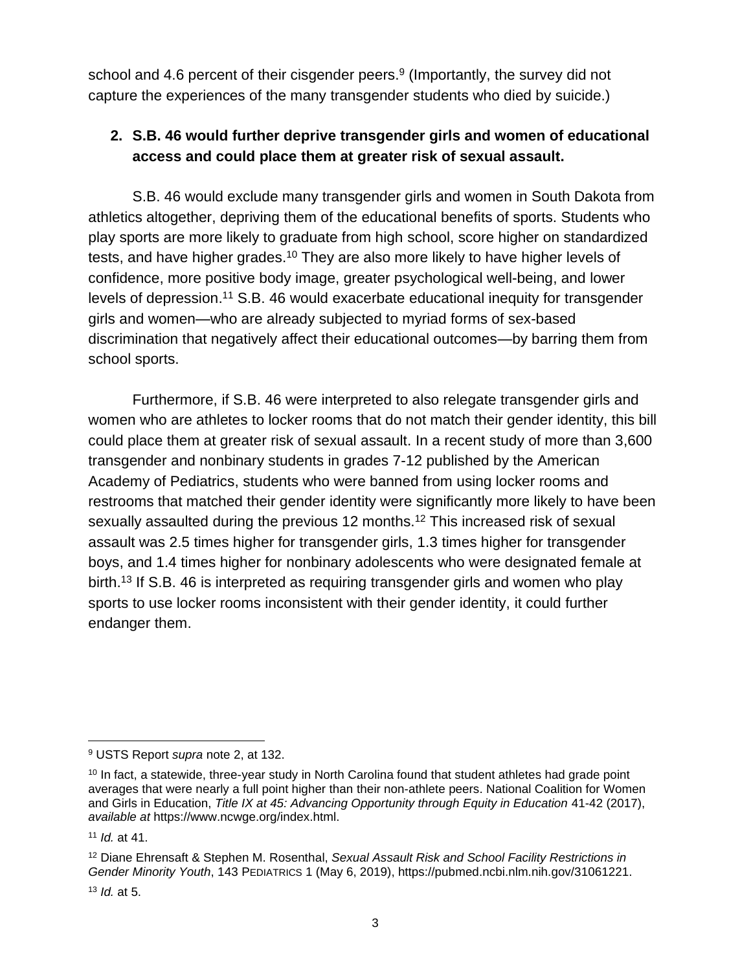school and 4.6 percent of their cisgender peers.<sup>9</sup> (Importantly, the survey did not capture the experiences of the many transgender students who died by suicide.)

# **2. S.B. 46 would further deprive transgender girls and women of educational access and could place them at greater risk of sexual assault.**

S.B. 46 would exclude many transgender girls and women in South Dakota from athletics altogether, depriving them of the educational benefits of sports. Students who play sports are more likely to graduate from high school, score higher on standardized tests, and have higher grades.<sup>10</sup> They are also more likely to have higher levels of confidence, more positive body image, greater psychological well-being, and lower levels of depression.<sup>11</sup> S.B. 46 would exacerbate educational inequity for transgender girls and women—who are already subjected to myriad forms of sex-based discrimination that negatively affect their educational outcomes—by barring them from school sports.

<span id="page-2-0"></span>Furthermore, if S.B. 46 were interpreted to also relegate transgender girls and women who are athletes to locker rooms that do not match their gender identity, this bill could place them at greater risk of sexual assault. In a recent study of more than 3,600 transgender and nonbinary students in grades 7-12 published by the American Academy of Pediatrics, students who were banned from using locker rooms and restrooms that matched their gender identity were significantly more likely to have been sexually assaulted during the previous 12 months.<sup>12</sup> This increased risk of sexual assault was 2.5 times higher for transgender girls, 1.3 times higher for transgender boys, and 1.4 times higher for nonbinary adolescents who were designated female at birth. <sup>13</sup> If S.B. 46 is interpreted as requiring transgender girls and women who play sports to use locker rooms inconsistent with their gender identity, it could further endanger them.

<span id="page-2-1"></span><sup>9</sup> USTS Report *supra* note [2,](#page-1-0) at 132.

 $10$  In fact, a statewide, three-year study in North Carolina found that student athletes had grade point averages that were nearly a full point higher than their non-athlete peers. National Coalition for Women and Girls in Education, *Title IX at 45: Advancing Opportunity through Equity in Education* 41-42 (2017), *available at* https://www.ncwge.org/index.html.

<sup>11</sup> *Id.* at 41.

<sup>12</sup> Diane Ehrensaft & Stephen M. Rosenthal, *Sexual Assault Risk and School Facility Restrictions in Gender Minority Youth*, 143 PEDIATRICS 1 (May 6, 2019), https://pubmed.ncbi.nlm.nih.gov/31061221.

<sup>13</sup> *Id.* at 5.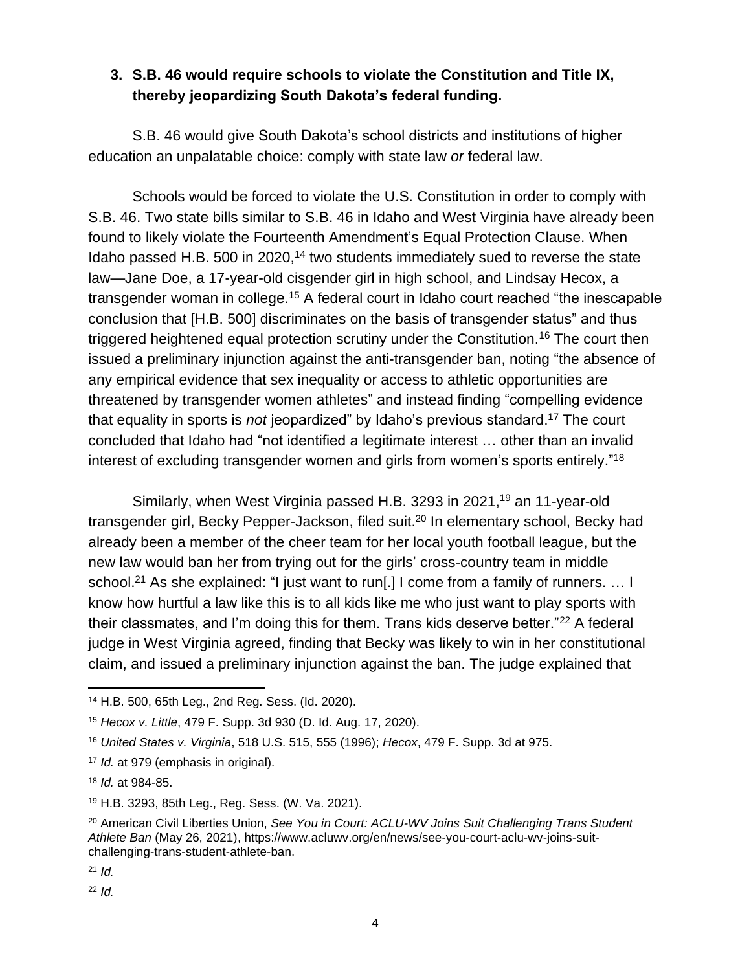### **3. S.B. 46 would require schools to violate the Constitution and Title IX, thereby jeopardizing South Dakota's federal funding.**

S.B. 46 would give South Dakota's school districts and institutions of higher education an unpalatable choice: comply with state law *or* federal law.

Schools would be forced to violate the U.S. Constitution in order to comply with S.B. 46. Two state bills similar to S.B. 46 in Idaho and West Virginia have already been found to likely violate the Fourteenth Amendment's Equal Protection Clause. When Idaho passed H.B. 500 in 2020,<sup>14</sup> two students immediately sued to reverse the state law—Jane Doe, a 17-year-old cisgender girl in high school, and Lindsay Hecox, a transgender woman in college.<sup>15</sup> A federal court in Idaho court reached "the inescapable conclusion that [H.B. 500] discriminates on the basis of transgender status" and thus triggered heightened equal protection scrutiny under the Constitution.<sup>16</sup> The court then issued a preliminary injunction against the anti-transgender ban, noting "the absence of any empirical evidence that sex inequality or access to athletic opportunities are threatened by transgender women athletes" and instead finding "compelling evidence that equality in sports is *not* jeopardized" by Idaho's previous standard. <sup>17</sup> The court concluded that Idaho had "not identified a legitimate interest … other than an invalid interest of excluding transgender women and girls from women's sports entirely."<sup>18</sup>

Similarly, when West Virginia passed H.B. 3293 in 2021,<sup>19</sup> an 11-year-old transgender girl, Becky Pepper-Jackson, filed suit.<sup>20</sup> In elementary school, Becky had already been a member of the cheer team for her local youth football league, but the new law would ban her from trying out for the girls' cross-country team in middle school.<sup>21</sup> As she explained: "I just want to run[.] I come from a family of runners. ... I know how hurtful a law like this is to all kids like me who just want to play sports with their classmates, and I'm doing this for them. Trans kids deserve better."<sup>22</sup> A federal judge in West Virginia agreed, finding that Becky was likely to win in her constitutional claim, and issued a preliminary injunction against the ban. The judge explained that

<sup>14</sup> H.B. 500, 65th Leg., 2nd Reg. Sess. (Id. 2020).

<sup>15</sup> *Hecox v. Little*, 479 F. Supp. 3d 930 (D. Id. Aug. 17, 2020).

<sup>16</sup> *United States v. Virginia*, 518 U.S. 515, 555 (1996); *Hecox*, 479 F. Supp. 3d at 975.

<sup>17</sup> *Id.* at 979 (emphasis in original).

<sup>18</sup> *Id.* at 984-85.

<sup>19</sup> H.B. 3293, 85th Leg., Reg. Sess. (W. Va. 2021).

<sup>20</sup> American Civil Liberties Union, *See You in Court: ACLU-WV Joins Suit Challenging Trans Student Athlete Ban* (May 26, 2021), https://www.acluwv.org/en/news/see-you-court-aclu-wv-joins-suitchallenging-trans-student-athlete-ban.

<sup>21</sup> *Id.*

<sup>22</sup> *Id.*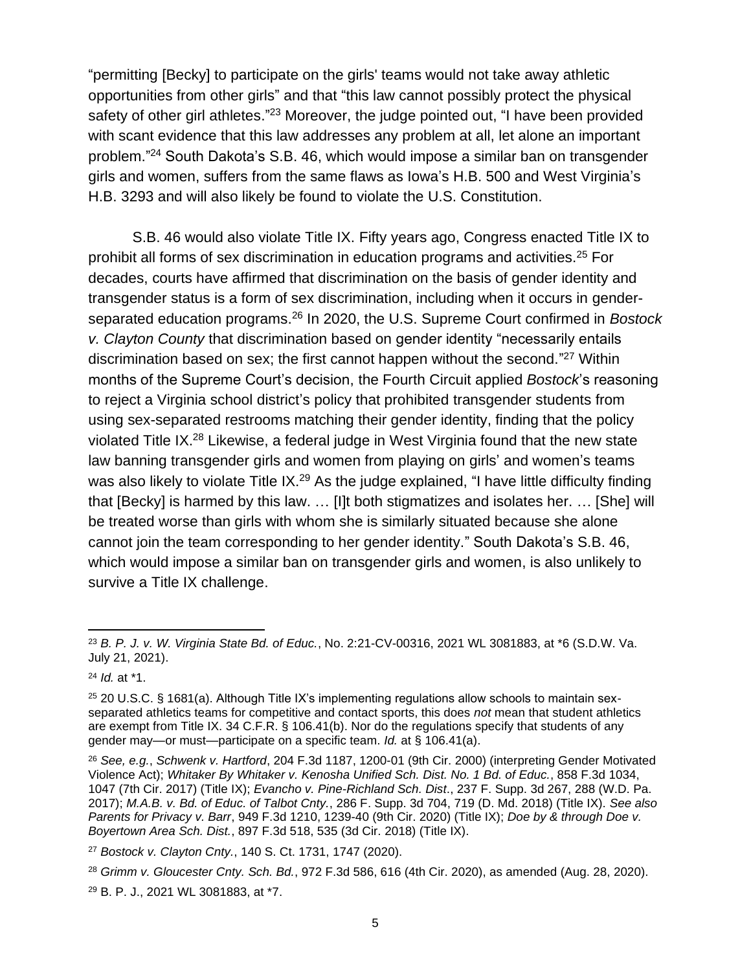"permitting [Becky] to participate on the girls' teams would not take away athletic opportunities from other girls" and that "this law cannot possibly protect the physical safety of other girl athletes."<sup>23</sup> Moreover, the judge pointed out, "I have been provided with scant evidence that this law addresses any problem at all, let alone an important problem." <sup>24</sup> South Dakota's S.B. 46, which would impose a similar ban on transgender girls and women, suffers from the same flaws as Iowa's H.B. 500 and West Virginia's H.B. 3293 and will also likely be found to violate the U.S. Constitution.

S.B. 46 would also violate Title IX. Fifty years ago, Congress enacted Title IX to prohibit all forms of sex discrimination in education programs and activities.<sup>25</sup> For decades, courts have affirmed that discrimination on the basis of gender identity and transgender status is a form of sex discrimination, including when it occurs in genderseparated education programs.<sup>26</sup> In 2020, the U.S. Supreme Court confirmed in *Bostock v. Clayton County* that discrimination based on gender identity "necessarily entails discrimination based on sex; the first cannot happen without the second."<sup>27</sup> Within months of the Supreme Court's decision, the Fourth Circuit applied *Bostock*'s reasoning to reject a Virginia school district's policy that prohibited transgender students from using sex-separated restrooms matching their gender identity, finding that the policy violated Title IX.<sup>28</sup> Likewise, a federal judge in West Virginia found that the new state law banning transgender girls and women from playing on girls' and women's teams was also likely to violate Title IX.<sup>29</sup> As the judge explained, "I have little difficulty finding that [Becky] is harmed by this law. … [I]t both stigmatizes and isolates her. … [She] will be treated worse than girls with whom she is similarly situated because she alone cannot join the team corresponding to her gender identity." South Dakota's S.B. 46, which would impose a similar ban on transgender girls and women, is also unlikely to survive a Title IX challenge.

<sup>23</sup> *B. P. J. v. W. Virginia State Bd. of Educ.*, No. 2:21-CV-00316, 2021 WL 3081883, at \*6 (S.D.W. Va. July 21, 2021).

<sup>24</sup> *Id.* at \*1.

 $25$  20 U.S.C. § 1681(a). Although Title IX's implementing regulations allow schools to maintain sexseparated athletics teams for competitive and contact sports, this does *not* mean that student athletics are exempt from Title IX. 34 C.F.R. § 106.41(b). Nor do the regulations specify that students of any gender may—or must—participate on a specific team. *Id.* at § 106.41(a).

<sup>26</sup> *See, e.g.*, *Schwenk v. Hartford*, 204 F.3d 1187, 1200-01 (9th Cir. 2000) (interpreting Gender Motivated Violence Act); *Whitaker By Whitaker v. Kenosha Unified Sch. Dist. No. 1 Bd. of Educ.*, 858 F.3d 1034, 1047 (7th Cir. 2017) (Title IX); *Evancho v. Pine-Richland Sch. Dist*., 237 F. Supp. 3d 267, 288 (W.D. Pa. 2017); *M.A.B. v. Bd. of Educ. of Talbot Cnty.*, 286 F. Supp. 3d 704, 719 (D. Md. 2018) (Title IX). *See also Parents for Privacy v. Barr*, 949 F.3d 1210, 1239-40 (9th Cir. 2020) (Title IX); *Doe by & through Doe v. Boyertown Area Sch. Dist.*, 897 F.3d 518, 535 (3d Cir. 2018) (Title IX).

<sup>27</sup> *Bostock v. Clayton Cnty.*, 140 S. Ct. 1731, 1747 (2020).

<sup>28</sup> *Grimm v. Gloucester Cnty. Sch. Bd.*, 972 F.3d 586, 616 (4th Cir. 2020), as amended (Aug. 28, 2020).

<sup>29</sup> B. P. J., 2021 WL 3081883, at \*7.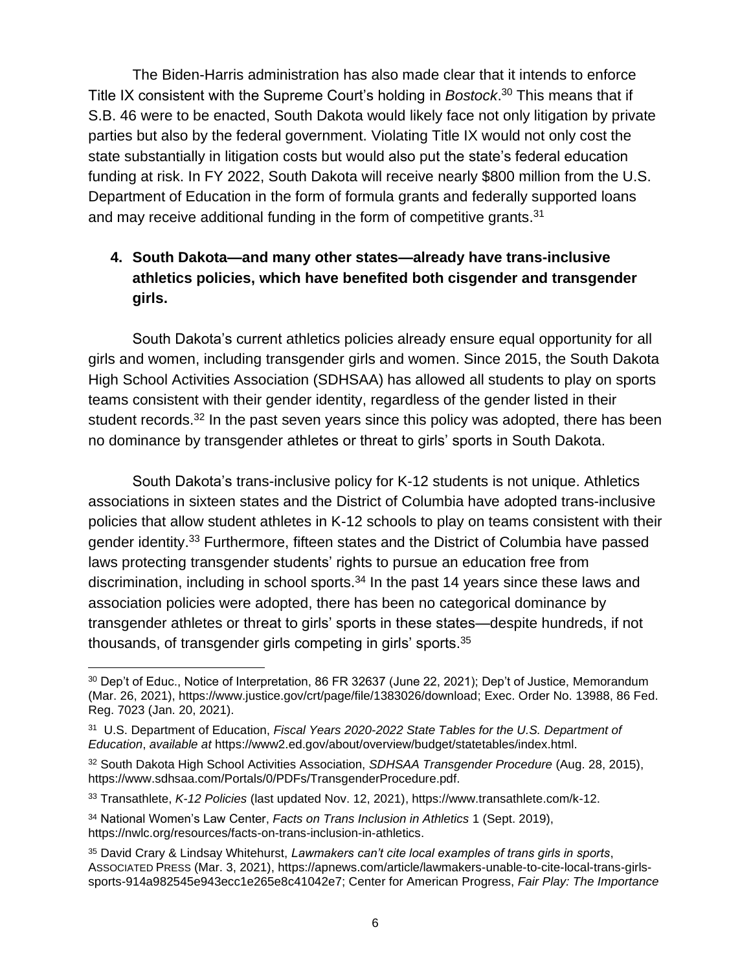The Biden-Harris administration has also made clear that it intends to enforce Title IX consistent with the Supreme Court's holding in *Bostock*. <sup>30</sup> This means that if S.B. 46 were to be enacted, South Dakota would likely face not only litigation by private parties but also by the federal government. Violating Title IX would not only cost the state substantially in litigation costs but would also put the state's federal education funding at risk. In FY 2022, South Dakota will receive nearly \$800 million from the U.S. Department of Education in the form of formula grants and federally supported loans and may receive additional funding in the form of competitive grants. $31$ 

# **4. South Dakota—and many other states—already have trans-inclusive athletics policies, which have benefited both cisgender and transgender girls.**

South Dakota's current athletics policies already ensure equal opportunity for all girls and women, including transgender girls and women. Since 2015, the South Dakota High School Activities Association (SDHSAA) has allowed all students to play on sports teams consistent with their gender identity, regardless of the gender listed in their student records.<sup>32</sup> In the past seven years since this policy was adopted, there has been no dominance by transgender athletes or threat to girls' sports in South Dakota.

South Dakota's trans-inclusive policy for K-12 students is not unique. Athletics associations in sixteen states and the District of Columbia have adopted trans-inclusive policies that allow student athletes in K-12 schools to play on teams consistent with their gender identity.<sup>33</sup> Furthermore, fifteen states and the District of Columbia have passed laws protecting transgender students' rights to pursue an education free from discrimination, including in school sports.<sup>34</sup> In the past 14 years since these laws and association policies were adopted, there has been no categorical dominance by transgender athletes or threat to girls' sports in these states—despite hundreds, if not thousands, of transgender girls competing in girls' sports.<sup>35</sup>

<span id="page-5-0"></span><sup>30</sup> Dep't of Educ., Notice of Interpretation, 86 FR 32637 (June 22, 2021); Dep't of Justice, Memorandum (Mar. 26, 2021), https://www.justice.gov/crt/page/file/1383026/download; Exec. Order No. 13988, 86 Fed. Reg. 7023 (Jan. 20, 2021).

<sup>31</sup> U.S. Department of Education, *Fiscal Years 2020-2022 State Tables for the U.S. Department of Education*, *available at* https://www2.ed.gov/about/overview/budget/statetables/index.html.

<sup>32</sup> South Dakota High School Activities Association, *SDHSAA Transgender Procedure* (Aug. 28, 2015), https://www.sdhsaa.com/Portals/0/PDFs/TransgenderProcedure.pdf.

<sup>33</sup> Transathlete, *K-12 Policies* (last updated Nov. 12, 2021), https://www.transathlete.com/k-12.

<sup>34</sup> National Women's Law Center, *Facts on Trans Inclusion in Athletics* 1 (Sept. 2019), https://nwlc.org/resources/facts-on-trans-inclusion-in-athletics.

<sup>35</sup> David Crary & Lindsay Whitehurst, *Lawmakers can't cite local examples of trans girls in sports*, ASSOCIATED PRESS (Mar. 3, 2021), https://apnews.com/article/lawmakers-unable-to-cite-local-trans-girlssports-914a982545e943ecc1e265e8c41042e7; Center for American Progress, *Fair Play: The Importance*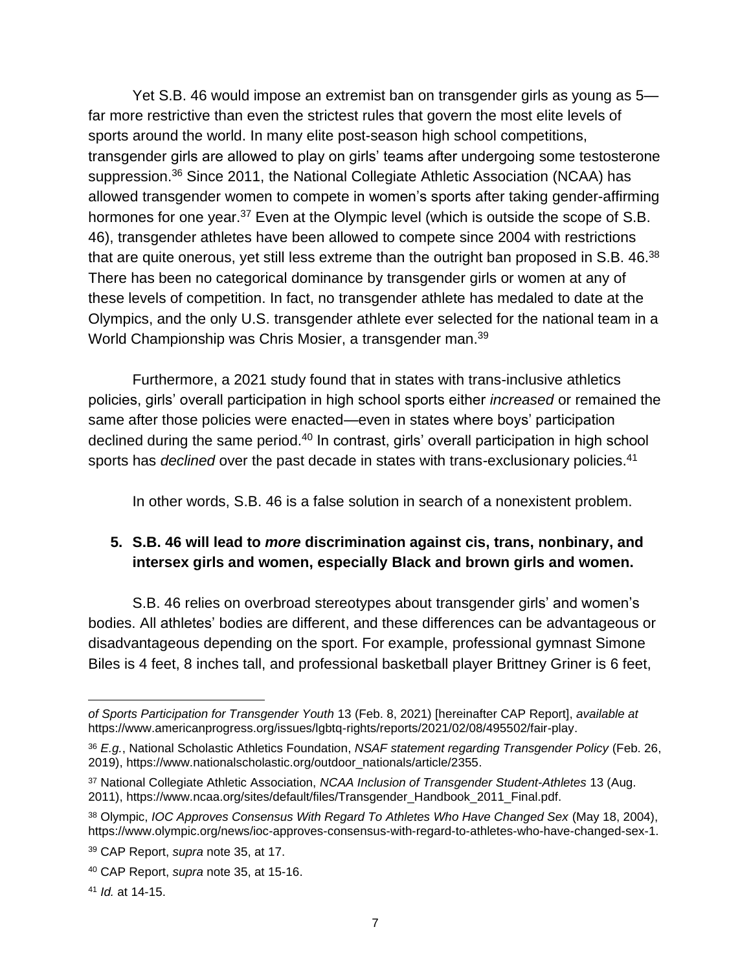Yet S.B. 46 would impose an extremist ban on transgender girls as young as 5 far more restrictive than even the strictest rules that govern the most elite levels of sports around the world. In many elite post-season high school competitions, transgender girls are allowed to play on girls' teams after undergoing some testosterone suppression.<sup>36</sup> Since 2011, the National Collegiate Athletic Association (NCAA) has allowed transgender women to compete in women's sports after taking gender-affirming hormones for one year.<sup>37</sup> Even at the Olympic level (which is outside the scope of S.B. 46), transgender athletes have been allowed to compete since 2004 with restrictions that are quite onerous, yet still less extreme than the outright ban proposed in S.B. 46. $^{38}$ There has been no categorical dominance by transgender girls or women at any of these levels of competition. In fact, no transgender athlete has medaled to date at the Olympics, and the only U.S. transgender athlete ever selected for the national team in a World Championship was Chris Mosier, a transgender man.<sup>39</sup>

Furthermore, a 2021 study found that in states with trans-inclusive athletics policies, girls' overall participation in high school sports either *increased* or remained the same after those policies were enacted—even in states where boys' participation declined during the same period.<sup>40</sup> In contrast, girls' overall participation in high school sports has *declined* over the past decade in states with trans-exclusionary policies.<sup>41</sup>

<span id="page-6-1"></span><span id="page-6-0"></span>In other words, S.B. 46 is a false solution in search of a nonexistent problem.

### **5. S.B. 46 will lead to** *more* **discrimination against cis, trans, nonbinary, and intersex girls and women, especially Black and brown girls and women.**

S.B. 46 relies on overbroad stereotypes about transgender girls' and women's bodies. All athletes' bodies are different, and these differences can be advantageous or disadvantageous depending on the sport. For example, professional gymnast Simone Biles is 4 feet, 8 inches tall, and professional basketball player Brittney Griner is 6 feet,

*of Sports Participation for Transgender Youth* 13 (Feb. 8, 2021) [hereinafter CAP Report], *available at*  https://www.americanprogress.org/issues/lgbtq-rights/reports/2021/02/08/495502/fair-play.

<sup>36</sup> *E.g.*, National Scholastic Athletics Foundation, *NSAF statement regarding Transgender Policy* (Feb. 26, 2019), https://www.nationalscholastic.org/outdoor\_nationals/article/2355.

<sup>37</sup> National Collegiate Athletic Association, *NCAA Inclusion of Transgender Student-Athletes* 13 (Aug. 2011), https://www.ncaa.org/sites/default/files/Transgender\_Handbook\_2011\_Final.pdf.

<sup>38</sup> Olympic, *IOC Approves Consensus With Regard To Athletes Who Have Changed Sex* (May 18, 2004), https://www.olympic.org/news/ioc-approves-consensus-with-regard-to-athletes-who-have-changed-sex-1.

<sup>39</sup> CAP Report, *supra* note [35,](#page-5-0) at 17.

<sup>40</sup> CAP Report, *supra* note [35,](#page-5-0) at 15-16.

<sup>41</sup> *Id.* at 14-15.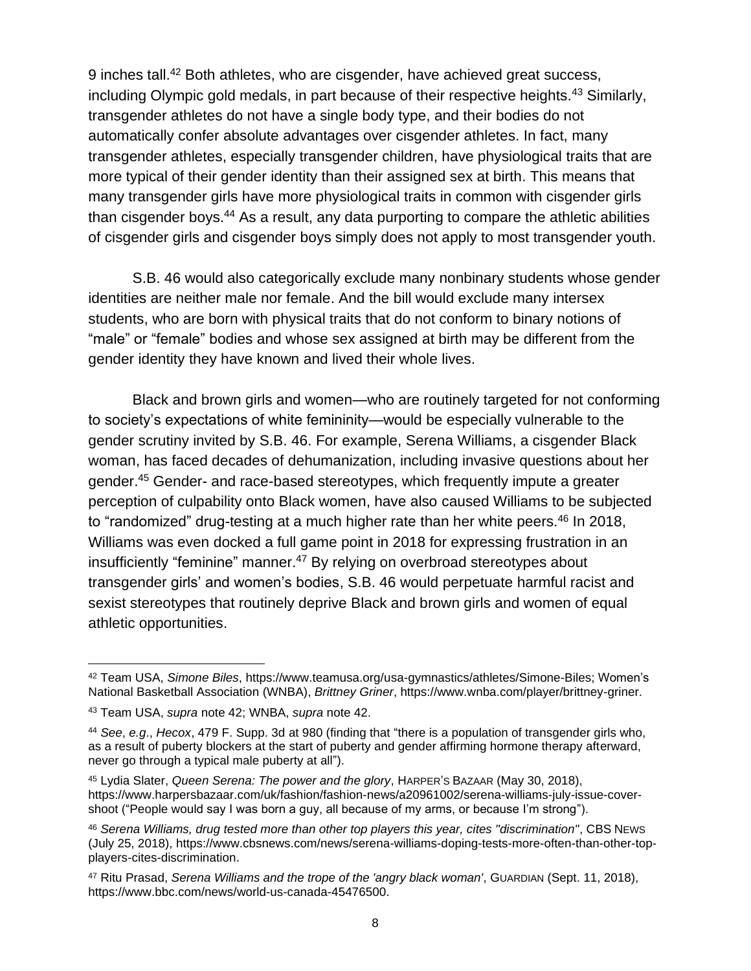<span id="page-7-0"></span>9 inches tall.<sup>42</sup> Both athletes, who are cisgender, have achieved great success, including Olympic gold medals, in part because of their respective heights.<sup>43</sup> Similarly, transgender athletes do not have a single body type, and their bodies do not automatically confer absolute advantages over cisgender athletes. In fact, many transgender athletes, especially transgender children, have physiological traits that are more typical of their gender identity than their assigned sex at birth. This means that many transgender girls have more physiological traits in common with cisgender girls than cisgender boys.<sup>44</sup> As a result, any data purporting to compare the athletic abilities of cisgender girls and cisgender boys simply does not apply to most transgender youth.

S.B. 46 would also categorically exclude many nonbinary students whose gender identities are neither male nor female. And the bill would exclude many intersex students, who are born with physical traits that do not conform to binary notions of "male" or "female" bodies and whose sex assigned at birth may be different from the gender identity they have known and lived their whole lives.

Black and brown girls and women—who are routinely targeted for not conforming to society's expectations of white femininity—would be especially vulnerable to the gender scrutiny invited by S.B. 46. For example, Serena Williams, a cisgender Black woman, has faced decades of dehumanization, including invasive questions about her gender. <sup>45</sup> Gender- and race-based stereotypes, which frequently impute a greater perception of culpability onto Black women, have also caused Williams to be subjected to "randomized" drug-testing at a much higher rate than her white peers.<sup>46</sup> In 2018, Williams was even docked a full game point in 2018 for expressing frustration in an insufficiently "feminine" manner. <sup>47</sup> By relying on overbroad stereotypes about transgender girls' and women's bodies, S.B. 46 would perpetuate harmful racist and sexist stereotypes that routinely deprive Black and brown girls and women of equal athletic opportunities.

<sup>42</sup> Team USA, *Simone Biles*, https://www.teamusa.org/usa-gymnastics/athletes/Simone-Biles; Women's National Basketball Association (WNBA), *Brittney Griner*, https://www.wnba.com/player/brittney-griner.

<sup>43</sup> Team USA, *supra* note [42;](#page-7-0) WNBA, *supra* note [42.](#page-7-0)

<sup>44</sup> *See*, *e.g*., *Hecox*, 479 F. Supp. 3d at 980 (finding that "there is a population of transgender girls who, as a result of puberty blockers at the start of puberty and gender affirming hormone therapy afterward, never go through a typical male puberty at all").

<sup>45</sup> Lydia Slater, *Queen Serena: The power and the glory*, HARPER'S BAZAAR (May 30, 2018), https://www.harpersbazaar.com/uk/fashion/fashion-news/a20961002/serena-williams-july-issue-covershoot ("People would say I was born a guy, all because of my arms, or because I'm strong").

<sup>46</sup> *Serena Williams, drug tested more than other top players this year, cites "discrimination"*, CBS NEWS (July 25, 2018), https://www.cbsnews.com/news/serena-williams-doping-tests-more-often-than-other-topplayers-cites-discrimination.

<sup>47</sup> Ritu Prasad, *Serena Williams and the trope of the 'angry black woman'*, GUARDIAN (Sept. 11, 2018), https://www.bbc.com/news/world-us-canada-45476500.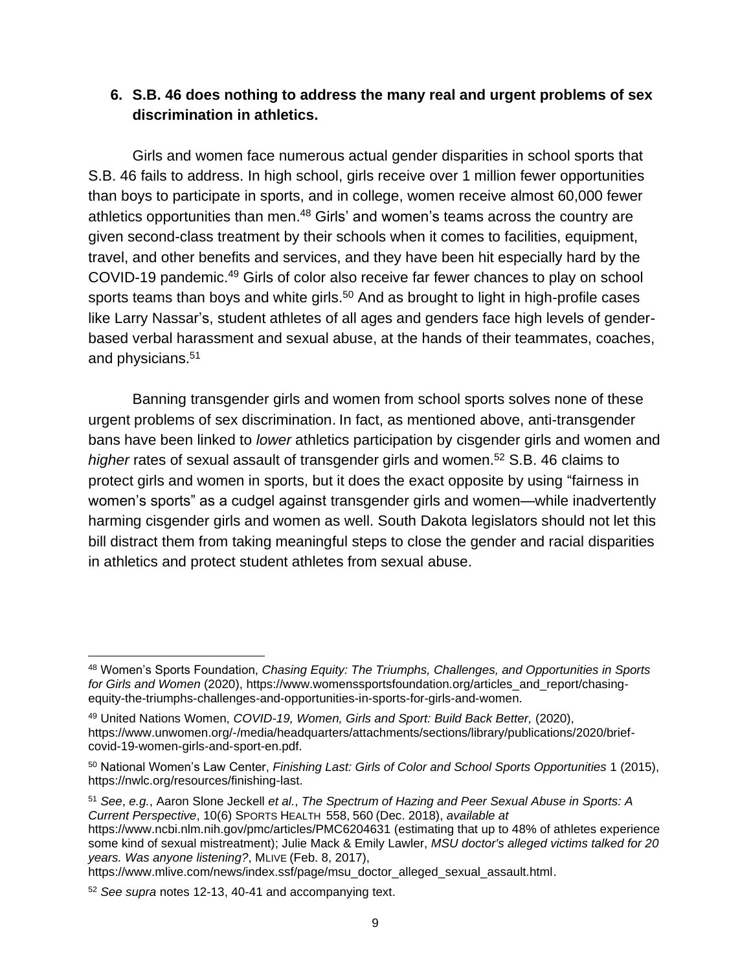### **6. S.B. 46 does nothing to address the many real and urgent problems of sex discrimination in athletics.**

Girls and women face numerous actual gender disparities in school sports that S.B. 46 fails to address. In high school, girls receive over 1 million fewer opportunities than boys to participate in sports, and in college, women receive almost 60,000 fewer athletics opportunities than men.<sup>48</sup> Girls' and women's teams across the country are given second-class treatment by their schools when it comes to facilities, equipment, travel, and other benefits and services, and they have been hit especially hard by the COVID-19 pandemic.<sup>49</sup> Girls of color also receive far fewer chances to play on school sports teams than boys and white girls.<sup>50</sup> And as brought to light in high-profile cases like Larry Nassar's, student athletes of all ages and genders face high levels of genderbased verbal harassment and sexual abuse, at the hands of their teammates, coaches, and physicians.<sup>51</sup>

Banning transgender girls and women from school sports solves none of these urgent problems of sex discrimination. In fact, as mentioned above, anti-transgender bans have been linked to *lower* athletics participation by cisgender girls and women and *higher* rates of sexual assault of transgender girls and women. <sup>52</sup> S.B. 46 claims to protect girls and women in sports, but it does the exact opposite by using "fairness in women's sports" as a cudgel against transgender girls and women—while inadvertently harming cisgender girls and women as well. South Dakota legislators should not let this bill distract them from taking meaningful steps to close the gender and racial disparities in athletics and protect student athletes from sexual abuse.

<sup>51</sup> *See*, *e.g.*, Aaron Slone Jeckell *et al.*, *The Spectrum of Hazing and Peer Sexual Abuse in Sports: A Current Perspective*, 10(6) SPORTS HEALTH 558, 560 (Dec. 2018), *available at* 

<sup>48</sup> Women's Sports Foundation, *Chasing Equity: The Triumphs, Challenges, and Opportunities in Sports for Girls and Women* (2020), https://www.womenssportsfoundation.org/articles\_and\_report/chasingequity-the-triumphs-challenges-and-opportunities-in-sports-for-girls-and-women.

<sup>49</sup> United Nations Women, *COVID-19, Women, Girls and Sport: Build Back Better,* (2020), https://www.unwomen.org/-/media/headquarters/attachments/sections/library/publications/2020/briefcovid-19-women-girls-and-sport-en.pdf.

<sup>50</sup> National Women's Law Center, *Finishing Last: Girls of Color and School Sports Opportunities* 1 (2015), https://nwlc.org/resources/finishing-last.

https://www.ncbi.nlm.nih.gov/pmc/articles/PMC6204631 (estimating that up to 48% of athletes experience some kind of sexual mistreatment); Julie Mack & Emily Lawler, *MSU doctor's alleged victims talked for 20 years. Was anyone listening?*, MLIVE (Feb. 8, 2017),

https://www.mlive.com/news/index.ssf/page/msu\_doctor\_alleged\_sexual\_assault.html.

<sup>52</sup> *See supra* notes [12-](#page-2-0)[13,](#page-2-1) [40](#page-6-0)[-41](#page-6-1) and accompanying text.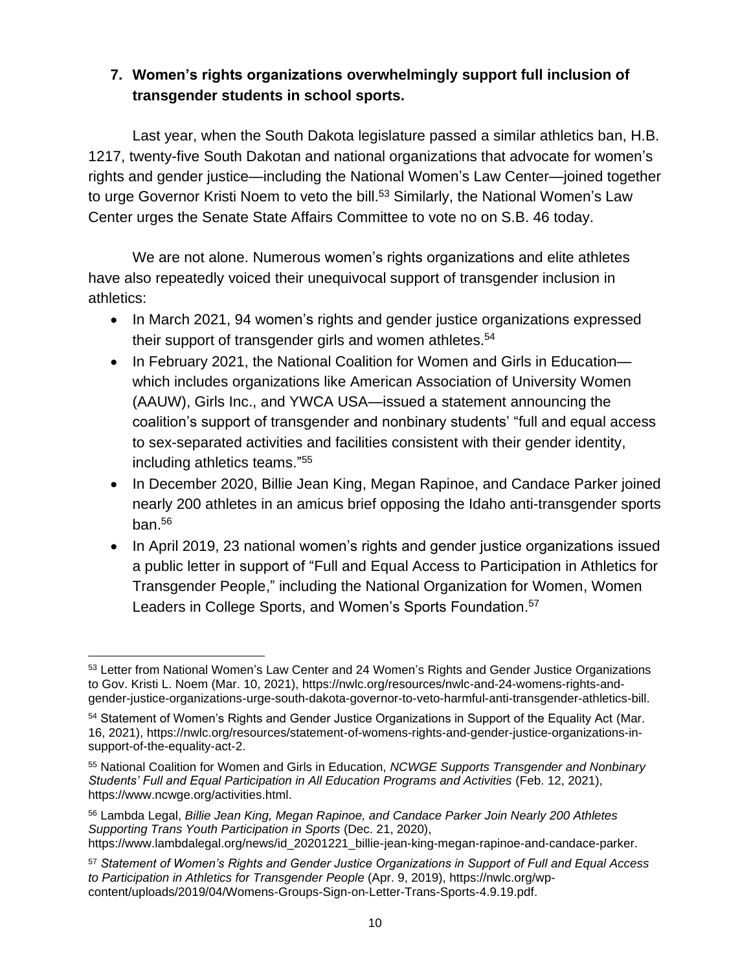# **7. Women's rights organizations overwhelmingly support full inclusion of transgender students in school sports.**

Last year, when the South Dakota legislature passed a similar athletics ban, H.B. 1217, twenty-five South Dakotan and national organizations that advocate for women's rights and gender justice—including the National Women's Law Center—joined together to urge Governor Kristi Noem to veto the bill.<sup>53</sup> Similarly, the National Women's Law Center urges the Senate State Affairs Committee to vote no on S.B. 46 today.

We are not alone. Numerous women's rights organizations and elite athletes have also repeatedly voiced their unequivocal support of transgender inclusion in athletics:

- In March 2021, 94 women's rights and gender justice organizations expressed their support of transgender girls and women athletes.<sup>54</sup>
- In February 2021, the National Coalition for Women and Girls in Education which includes organizations like American Association of University Women (AAUW), Girls Inc., and YWCA USA—issued a statement announcing the coalition's support of transgender and nonbinary students' "full and equal access to sex-separated activities and facilities consistent with their gender identity, including athletics teams."<sup>55</sup>
- In December 2020, Billie Jean King, Megan Rapinoe, and Candace Parker joined nearly 200 athletes in an amicus brief opposing the Idaho anti-transgender sports ban.<sup>56</sup>
- In April 2019, 23 national women's rights and gender justice organizations issued a public letter in support of "Full and Equal Access to Participation in Athletics for Transgender People," including the National Organization for Women, Women Leaders in College Sports, and Women's Sports Foundation.<sup>57</sup>

<sup>53</sup> Letter from National Women's Law Center and 24 Women's Rights and Gender Justice Organizations to Gov. Kristi L. Noem (Mar. 10, 2021), https://nwlc.org/resources/nwlc-and-24-womens-rights-andgender-justice-organizations-urge-south-dakota-governor-to-veto-harmful-anti-transgender-athletics-bill.

<sup>54</sup> Statement of Women's Rights and Gender Justice Organizations in Support of the Equality Act (Mar. 16, 2021), https://nwlc.org/resources/statement-of-womens-rights-and-gender-justice-organizations-insupport-of-the-equality-act-2.

<sup>55</sup> National Coalition for Women and Girls in Education, *NCWGE Supports Transgender and Nonbinary Students' Full and Equal Participation in All Education Programs and Activities* (Feb. 12, 2021), https://www.ncwge.org/activities.html.

<sup>56</sup> Lambda Legal, *Billie Jean King, Megan Rapinoe, and Candace Parker Join Nearly 200 Athletes Supporting Trans Youth Participation in Sports* (Dec. 21, 2020),

https://www.lambdalegal.org/news/id\_20201221\_billie-jean-king-megan-rapinoe-and-candace-parker.

<sup>57</sup> *Statement of Women's Rights and Gender Justice Organizations in Support of Full and Equal Access to Participation in Athletics for Transgender People* (Apr. 9, 2019), https://nwlc.org/wpcontent/uploads/2019/04/Womens-Groups-Sign-on-Letter-Trans-Sports-4.9.19.pdf.